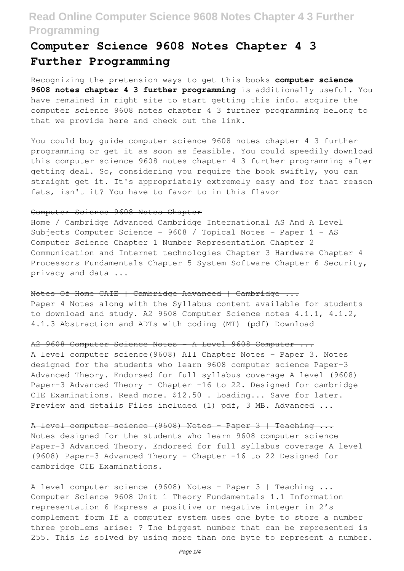# **Computer Science 9608 Notes Chapter 4 3 Further Programming**

Recognizing the pretension ways to get this books **computer science 9608 notes chapter 4 3 further programming** is additionally useful. You have remained in right site to start getting this info. acquire the computer science 9608 notes chapter 4 3 further programming belong to that we provide here and check out the link.

You could buy guide computer science 9608 notes chapter 4 3 further programming or get it as soon as feasible. You could speedily download this computer science 9608 notes chapter 4 3 further programming after getting deal. So, considering you require the book swiftly, you can straight get it. It's appropriately extremely easy and for that reason fats, isn't it? You have to favor to in this flavor

## Computer Science 9608 Notes Chapter

Home / Cambridge Advanced Cambridge International AS And A Level Subjects Computer Science - 9608 / Topical Notes - Paper 1 - AS Computer Science Chapter 1 Number Representation Chapter 2 Communication and Internet technologies Chapter 3 Hardware Chapter 4 Processors Fundamentals Chapter 5 System Software Chapter 6 Security, privacy and data ...

Notes Of Home CAIE | Cambridge Advanced | Cambridge ...

Paper 4 Notes along with the Syllabus content available for students to download and study. A2 9608 Computer Science notes 4.1.1, 4.1.2, 4.1.3 Abstraction and ADTs with coding (MT) (pdf) Download

## A2 9608 Computer Science Notes - A Level 9608 Computer ...

A level computer science(9608) All Chapter Notes - Paper 3. Notes designed for the students who learn 9608 computer science Paper-3 Advanced Theory. Endorsed for full syllabus coverage A level (9608) Paper-3 Advanced Theory - Chapter -16 to 22. Designed for cambridge CIE Examinations. Read more. \$12.50 . Loading... Save for later. Preview and details Files included (1) pdf, 3 MB. Advanced ...

A level computer science (9608) Notes - Paper 3 | Teaching ...

Notes designed for the students who learn 9608 computer science Paper-3 Advanced Theory. Endorsed for full syllabus coverage A level (9608) Paper-3 Advanced Theory - Chapter -16 to 22 Designed for cambridge CIE Examinations.

## A level computer science (9608) Notes - Paper 3 | Teaching ...

Computer Science 9608 Unit 1 Theory Fundamentals 1.1 Information representation 6 Express a positive or negative integer in 2's complement form If a computer system uses one byte to store a number three problems arise: ? The biggest number that can be represented is 255. This is solved by using more than one byte to represent a number.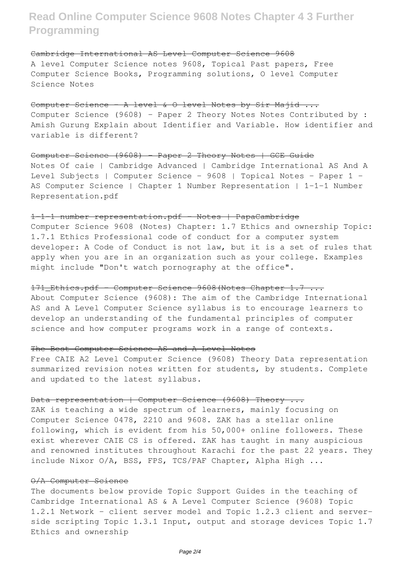### Cambridge International AS Level Computer Science 9608

A level Computer Science notes 9608, Topical Past papers, Free Computer Science Books, Programming solutions, O level Computer Science Notes

## Computer Science - A level & O level Notes by Sir Majid ...

Computer Science (9608) – Paper 2 Theory Notes Notes Contributed by : Amish Gurung Explain about Identifier and Variable. How identifier and variable is different?

## Computer Science (9608) - Paper 2 Theory Notes | GCE Guide

Notes Of caie | Cambridge Advanced | Cambridge International AS And A Level Subjects | Computer Science - 9608 | Topical Notes - Paper 1 - AS Computer Science | Chapter 1 Number Representation | 1-1-1 Number Representation.pdf

## 1-1-1 number representation.pdf - Notes | PapaCambridge

Computer Science 9608 (Notes) Chapter: 1.7 Ethics and ownership Topic: 1.7.1 Ethics Professional code of conduct for a computer system developer: A Code of Conduct is not law, but it is a set of rules that apply when you are in an organization such as your college. Examples might include "Don't watch pornography at the office".

## 171\_Ethics.pdf - Computer Science 9608(Notes Chapter 1.7 ...

About Computer Science (9608): The aim of the Cambridge International AS and A Level Computer Science syllabus is to encourage learners to develop an understanding of the fundamental principles of computer science and how computer programs work in a range of contexts.

### The Best Computer Science AS and A Level Notes

Free CAIE A2 Level Computer Science (9608) Theory Data representation summarized revision notes written for students, by students. Complete and updated to the latest syllabus.

## Data representation | Computer Science (9608) Theory ...

ZAK is teaching a wide spectrum of learners, mainly focusing on Computer Science 0478, 2210 and 9608. ZAK has a stellar online following, which is evident from his 50,000+ online followers. These exist wherever CAIE CS is offered. ZAK has taught in many auspicious and renowned institutes throughout Karachi for the past 22 years. They include Nixor O/A, BSS, FPS, TCS/PAF Chapter, Alpha High ...

#### O/A Computer Science

The documents below provide Topic Support Guides in the teaching of Cambridge International AS & A Level Computer Science (9608) Topic 1.2.1 Network - client server model and Topic 1.2.3 client and serverside scripting Topic 1.3.1 Input, output and storage devices Topic 1.7 Ethics and ownership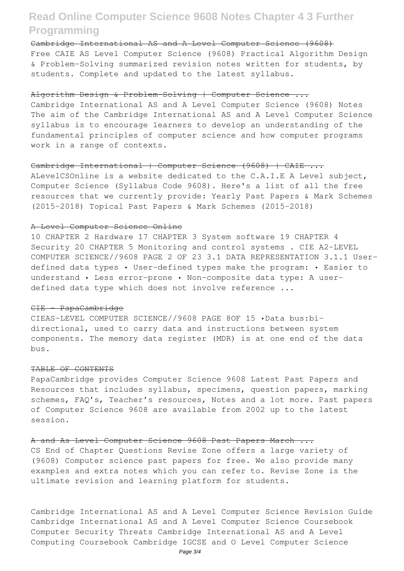Cambridge International AS and A Level Computer Science (9608) Free CAIE AS Level Computer Science (9608) Practical Algorithm Design & Problem-Solving summarized revision notes written for students, by students. Complete and updated to the latest syllabus.

### Algorithm Design & Problem-Solving | Computer Science ...

Cambridge International AS and A Level Computer Science (9608) Notes The aim of the Cambridge International AS and A Level Computer Science syllabus is to encourage learners to develop an understanding of the fundamental principles of computer science and how computer programs work in a range of contexts.

## Cambridge International | Computer Science (9608) | CAIE ...

ALevelCSOnline is a website dedicated to the C.A.I.E A Level subject, Computer Science (Syllabus Code 9608). Here's a list of all the free resources that we currently provide: Yearly Past Papers & Mark Schemes (2015-2018) Topical Past Papers & Mark Schemes (2015-2018)

### A Level Computer Science Online

10 CHAPTER 2 Hardware 17 CHAPTER 3 System software 19 CHAPTER 4 Security 20 CHAPTER 5 Monitoring and control systems . CIE A2-LEVEL COMPUTER SCIENCE//9608 PAGE 2 OF 23 3.1 DATA REPRESENTATION 3.1.1 Userdefined data types • User-defined types make the program: • Easier to understand • Less error-prone • Non-composite data type: A userdefined data type which does not involve reference ...

### CIE - PapaCambridge

CIEAS-LEVEL COMPUTER SCIENCE//9608 PAGE 8OF 15 •Data bus:bidirectional, used to carry data and instructions between system components. The memory data register (MDR) is at one end of the data bus.

## TABLE OF CONTENTS

PapaCambridge provides Computer Science 9608 Latest Past Papers and Resources that includes syllabus, specimens, question papers, marking schemes, FAQ's, Teacher's resources, Notes and a lot more. Past papers of Computer Science 9608 are available from 2002 up to the latest session.

### A and As Level Computer Science 9608 Past Papers March ...

CS End of Chapter Questions Revise Zone offers a large variety of (9608) Computer science past papers for free. We also provide many examples and extra notes which you can refer to. Revise Zone is the ultimate revision and learning platform for students.

Cambridge International AS and A Level Computer Science Revision Guide Cambridge International AS and A Level Computer Science Coursebook Computer Security Threats Cambridge International AS and A Level Computing Coursebook Cambridge IGCSE and O Level Computer Science